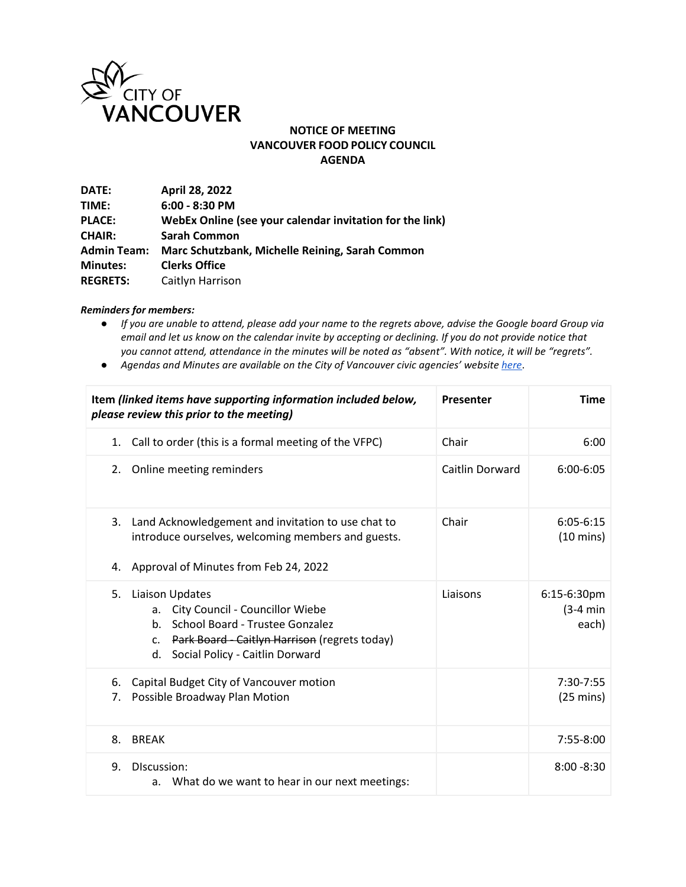

## **NOTICE OF MEETING VANCOUVER FOOD POLICY COUNCIL AGENDA**

| DATE:              | April 28, 2022                                           |
|--------------------|----------------------------------------------------------|
| TIME:              | $6:00 - 8:30$ PM                                         |
| <b>PLACE:</b>      | WebEx Online (see your calendar invitation for the link) |
| <b>CHAIR:</b>      | <b>Sarah Common</b>                                      |
| <b>Admin Team:</b> | Marc Schutzbank, Michelle Reining, Sarah Common          |
| <b>Minutes:</b>    | <b>Clerks Office</b>                                     |
| <b>REGRETS:</b>    | Caitlyn Harrison                                         |
|                    |                                                          |

## *Reminders for members:*

- *If you are unable to attend, please add your name to the regrets above, advise the Google board Group via email and let us know on the calendar invite by accepting or declining. If you do not provide notice that you cannot attend, attendance in the minutes will be noted as "absent". With notice, it will be "regrets".*
- *Agendas and Minutes are available on the City of Vancouver civic agencies' websit[e here](http://vancouver.ca/your-government/advisory-boards-and-committees.aspx)*.

| Item (linked items have supporting information included below,<br>please review this prior to the meeting)                                                                                                                   | Presenter       | <b>Time</b>                          |
|------------------------------------------------------------------------------------------------------------------------------------------------------------------------------------------------------------------------------|-----------------|--------------------------------------|
| Call to order (this is a formal meeting of the VFPC)<br>1.                                                                                                                                                                   | Chair           | 6:00                                 |
| Online meeting reminders<br>2.                                                                                                                                                                                               | Caitlin Dorward | 6:00-6:05                            |
| 3.<br>Land Acknowledgement and invitation to use chat to<br>introduce ourselves, welcoming members and guests.                                                                                                               | Chair           | $6:05 - 6:15$<br>$(10 \text{ mins})$ |
| Approval of Minutes from Feb 24, 2022<br>4.                                                                                                                                                                                  |                 |                                      |
| 5.<br>Liaison Updates<br>City Council - Councillor Wiebe<br>a.<br>School Board - Trustee Gonzalez<br>$h_{\cdot}$<br>Park Board - Caitlyn Harrison (regrets today)<br>C <sub>1</sub><br>Social Policy - Caitlin Dorward<br>d. | Liaisons        | 6:15-6:30pm<br>$(3-4 min)$<br>each)  |
| Capital Budget City of Vancouver motion<br>6.<br>Possible Broadway Plan Motion<br>7.                                                                                                                                         |                 | 7:30-7:55<br>$(25 \text{ mins})$     |
| 8.<br><b>BREAK</b>                                                                                                                                                                                                           |                 | 7:55-8:00                            |
| DIscussion:<br>9.<br>a. What do we want to hear in our next meetings:                                                                                                                                                        |                 | $8:00 - 8:30$                        |